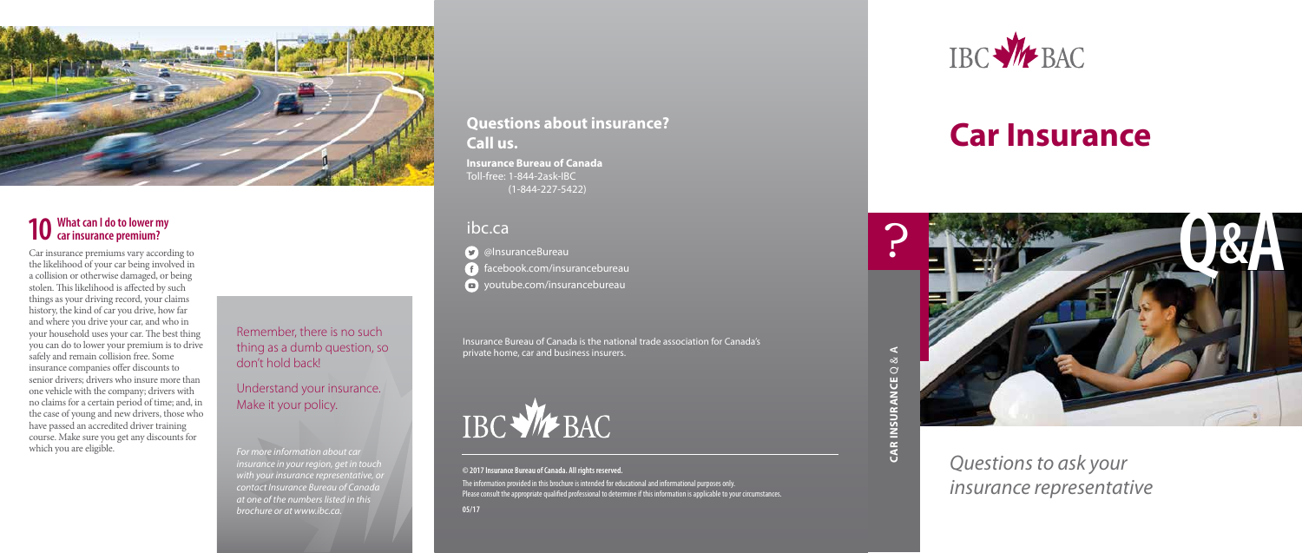### **Car Insurance**

*Questions to ask your insurance representative*



## **10 What can I do to lower my car insurance premium?**

Car insurance premiums vary according to the likelihood of your car being involved in a collision or otherwise damaged, or being stolen. This likelihood is affected by such things as your driving record, your claims history, the kind of car you drive, how far and where you drive your car, and who in your household uses your car. The best thing you can do to lower your premium is to drive safely and remain collision free. Some insurance companies offer discounts to senior drivers; drivers who insure more than one vehicle with the company; drivers with no claims for a certain period of time; and, in the case of young and new drivers, those who have passed an accredited driver training course. Make sure you get any discounts for which you are eligible.







The information provided in this brochure is intended for educational and informational purposes only. Please consult the appropriate qualified professional to determine if this information is applicable to your circumstances.

**D** @InsuranceBureau facebook.com/insurancebureau

**D** youtube.com/insurancebureau

#### Remember, there is no such thing as a dumb question, so don't hold back!

Understand your insurance. Make it your policy.

*For more information about car insurance in your region, get in touch with your insurance representative, or contact Insurance Bureau of Canada at one of the numbers listed in this brochure or at www.ibc.ca.* 

Insurance Bureau of Canada is the national trade association for Canada's private home, car and business insurers.



#### **© 2017 Insurance Bureau of Canada. All rights reserved.**

**05/17**

#### **Questions about insurance? Call us.**

**Insurance Bureau of Canada** Toll-free: 1-844-2ask-IBC (1-844-227-5422)

#### ibc.ca